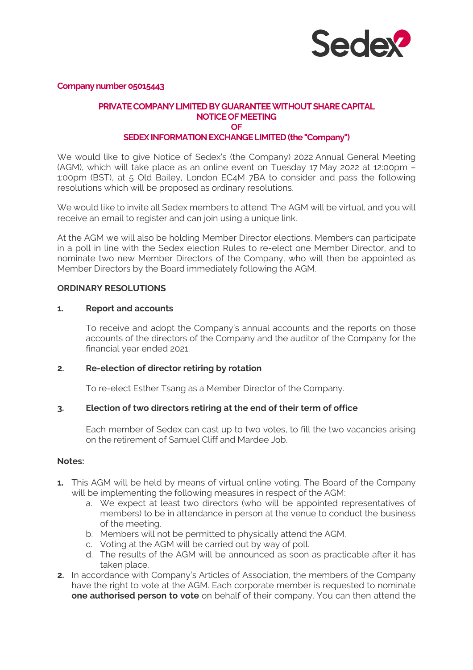

**Company number 05015443** 

# **PRIVATE COMPANY LIMITED BY GUARANTEE WITHOUT SHARE CAPITAL NOTICE OF MEETING OF**

# **SEDEX INFORMATION EXCHANGE LIMITED (the "Company")**

We would like to give Notice of Sedex's (the Company) 2022 Annual General Meeting (AGM), which will take place as an online event on Tuesday 17 May 2022 at 12:00pm – 1:00pm (BST), at 5 Old Bailey, London EC4M 7BA to consider and pass the following resolutions which will be proposed as ordinary resolutions.

We would like to invite all Sedex members to attend. The AGM will be virtual, and you will receive an email to register and can join using a unique link.

At the AGM we will also be holding Member Director elections. Members can participate in a poll in line with the Sedex election Rules to re-elect one Member Director, and to nominate two new Member Directors of the Company, who will then be appointed as Member Directors by the Board immediately following the AGM.

#### **ORDINARY RESOLUTIONS**

#### **1. Report and accounts**

To receive and adopt the Company's annual accounts and the reports on those accounts of the directors of the Company and the auditor of the Company for the financial year ended 2021.

## **2. Re-election of director retiring by rotation**

To re-elect Esther Tsang as a Member Director of the Company.

## **3. Election of two directors retiring at the end of their term of office**

Each member of Sedex can cast up to two votes, to fill the two vacancies arising on the retirement of Samuel Cliff and Mardee Job.

#### **Notes:**

- **1.** This AGM will be held by means of virtual online voting. The Board of the Company will be implementing the following measures in respect of the AGM:
	- a. We expect at least two directors (who will be appointed representatives of members) to be in attendance in person at the venue to conduct the business of the meeting.
	- b. Members will not be permitted to physically attend the AGM.
	- c. Voting at the AGM will be carried out by way of poll.
	- d. The results of the AGM will be announced as soon as practicable after it has taken place.
- **2.** In accordance with Company's Articles of Association, the members of the Company have the right to vote at the AGM. Each corporate member is requested to nominate **one authorised person to vote** on behalf of their company. You can then attend the